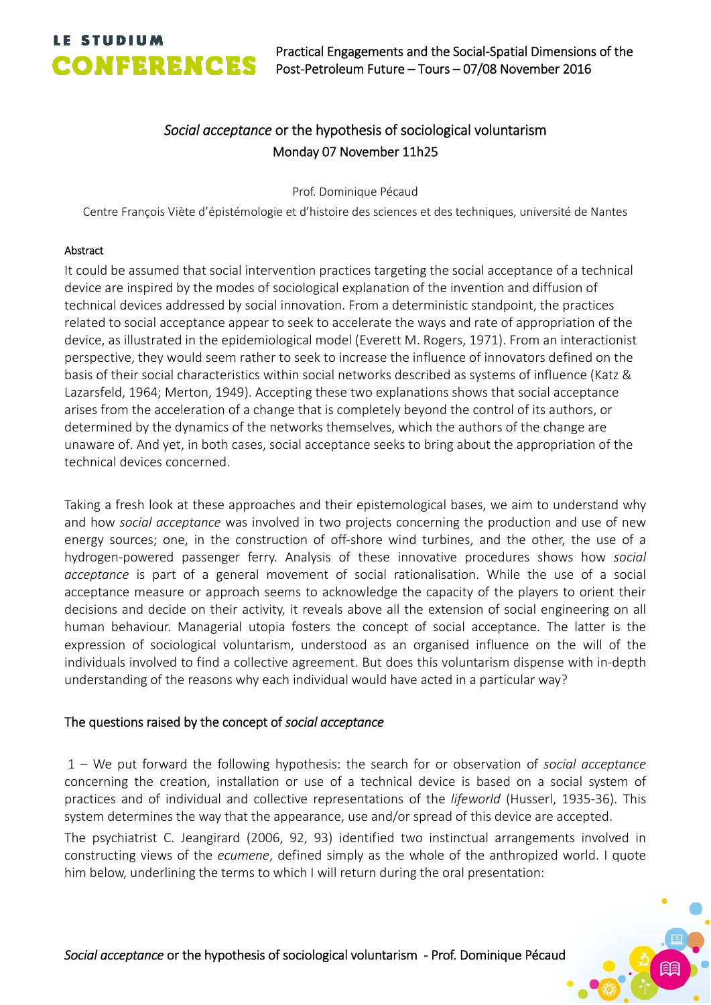# **LE STUDIUM**

## *Social acceptance* or the hypothesis of sociological voluntarism Monday 07 November 11h25

Prof. Dominique Pécaud

Centre François Viète d'épistémologie et d'histoire des sciences et des techniques, université de Nantes

## Abstract

It could be assumed that social intervention practices targeting the social acceptance of a technical device are inspired by the modes of sociological explanation of the invention and diffusion of technical devices addressed by social innovation. From a deterministic standpoint, the practices related to social acceptance appear to seek to accelerate the ways and rate of appropriation of the device, as illustrated in the epidemiological model (Everett M. Rogers, 1971). From an interactionist perspective, they would seem rather to seek to increase the influence of innovators defined on the basis of their social characteristics within social networks described as systems of influence (Katz & Lazarsfeld, 1964; Merton, 1949). Accepting these two explanations shows that social acceptance arises from the acceleration of a change that is completely beyond the control of its authors, or determined by the dynamics of the networks themselves, which the authors of the change are unaware of. And yet, in both cases, social acceptance seeks to bring about the appropriation of the technical devices concerned.

Taking a fresh look at these approaches and their epistemological bases, we aim to understand why and how *social acceptance* was involved in two projects concerning the production and use of new energy sources; one, in the construction of off-shore wind turbines, and the other, the use of a hydrogen‐powered passenger ferry. Analysis of these innovative procedures shows how *social acceptance* is part of a general movement of social rationalisation. While the use of a social acceptance measure or approach seems to acknowledge the capacity of the players to orient their decisions and decide on their activity, it reveals above all the extension of social engineering on all human behaviour. Managerial utopia fosters the concept of social acceptance. The latter is the expression of sociological voluntarism, understood as an organised influence on the will of the individuals involved to find a collective agreement. But does this voluntarism dispense with in‐depth understanding of the reasons why each individual would have acted in a particular way?

## The questions raised by the concept of *social acceptance*

1 – We put forward the following hypothesis: the search for or observation of *social acceptance* concerning the creation, installation or use of a technical device is based on a social system of practices and of individual and collective representations of the *lifeworld* (Husserl, 1935‐36). This system determines the way that the appearance, use and/or spread of this device are accepted.

The psychiatrist C. Jeangirard (2006, 92, 93) identified two instinctual arrangements involved in constructing views of the *ecumene*, defined simply as the whole of the anthropized world. I quote him below, underlining the terms to which I will return during the oral presentation: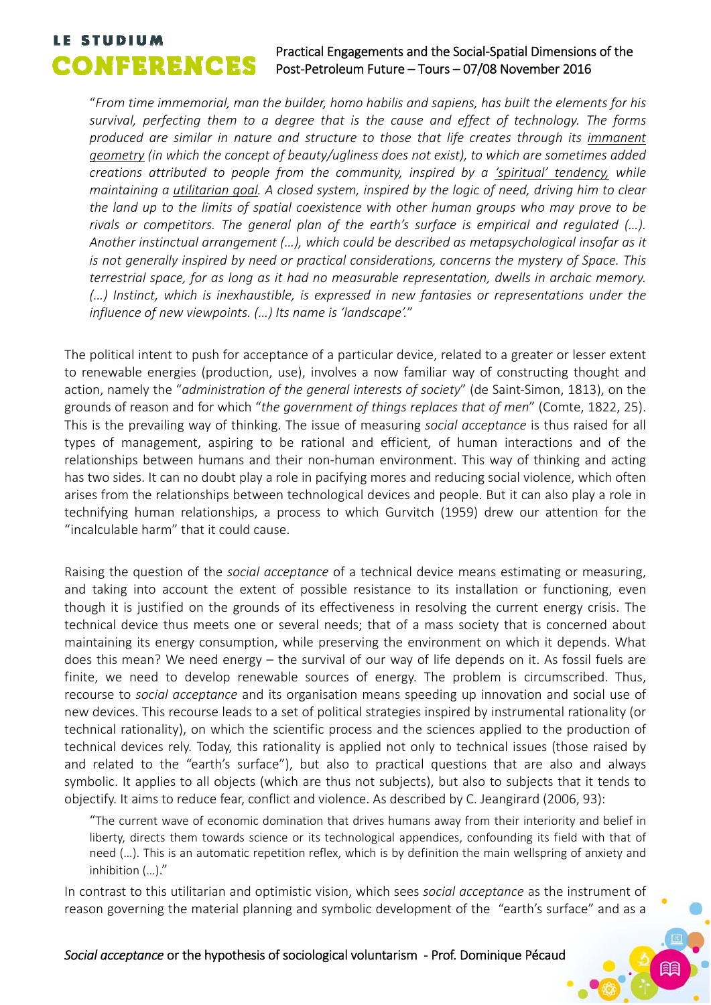## **LE STUDIUM**<br>Practical Engagements and the Social-Spatial Dimensions of the<br>Post-Petroleum Future – Tours – 07/08 November 2016 Post‐Petroleum Future – Tours – 07/08 November 2016

"*From time immemorial, man the builder, homo habilis and sapiens, has built the elements for his survival, perfecting them to a degree that is the cause and effect of technology. The forms produced are similar in nature and structure to those that life creates through its immanent geometry (in which the concept of beauty/ugliness does not exist), to which are sometimes added creations attributed to people from the community, inspired by a 'spiritual' tendency, while maintaining a utilitarian goal. A closed system, inspired by the logic of need, driving him to clear the land up to the limits of spatial coexistence with other human groups who may prove to be*  rivals or competitors. The general plan of the earth's surface is empirical and regulated (...). *Another instinctual arrangement (…), which could be described as metapsychological insofar as it is not generally inspired by need or practical considerations, concerns the mystery of Space. This terrestrial space, for as long as it had no measurable representation, dwells in archaic memory. (…) Instinct, which is inexhaustible, is expressed in new fantasies or representations under the influence of new viewpoints. (…) Its name is 'landscape'.*"

The political intent to push for acceptance of a particular device, related to a greater or lesser extent to renewable energies (production, use), involves a now familiar way of constructing thought and action, namely the "*administration of the general interests of society*" (de Saint‐Simon, 1813), on the grounds of reason and for which "*the government of things replaces that of men*" (Comte, 1822, 25). This is the prevailing way of thinking. The issue of measuring *social acceptance* is thus raised for all types of management, aspiring to be rational and efficient, of human interactions and of the relationships between humans and their non-human environment. This way of thinking and acting has two sides. It can no doubt play a role in pacifying mores and reducing social violence, which often arises from the relationships between technological devices and people. But it can also play a role in technifying human relationships, a process to which Gurvitch (1959) drew our attention for the "incalculable harm" that it could cause.

Raising the question of the *social acceptance* of a technical device means estimating or measuring, and taking into account the extent of possible resistance to its installation or functioning, even though it is justified on the grounds of its effectiveness in resolving the current energy crisis. The technical device thus meets one or several needs; that of a mass society that is concerned about maintaining its energy consumption, while preserving the environment on which it depends. What does this mean? We need energy – the survival of our way of life depends on it. As fossil fuels are finite, we need to develop renewable sources of energy. The problem is circumscribed. Thus, recourse to *social acceptance* and its organisation means speeding up innovation and social use of new devices. This recourse leads to a set of political strategies inspired by instrumental rationality (or technical rationality), on which the scientific process and the sciences applied to the production of technical devices rely. Today, this rationality is applied not only to technical issues (those raised by and related to the "earth's surface"), but also to practical questions that are also and always symbolic. It applies to all objects (which are thus not subjects), but also to subjects that it tends to objectify. It aims to reduce fear, conflict and violence. As described by C. Jeangirard (2006, 93):

"The current wave of economic domination that drives humans away from their interiority and belief in liberty, directs them towards science or its technological appendices, confounding its field with that of need (…). This is an automatic repetition reflex, which is by definition the main wellspring of anxiety and inhibition (…)."

In contrast to this utilitarian and optimistic vision, which sees *social acceptance* as the instrument of reason governing the material planning and symbolic development of the "earth's surface" and as a

## *Social acceptance* or the hypothesis of sociological voluntarism ‐ Prof. Dominique Pécaud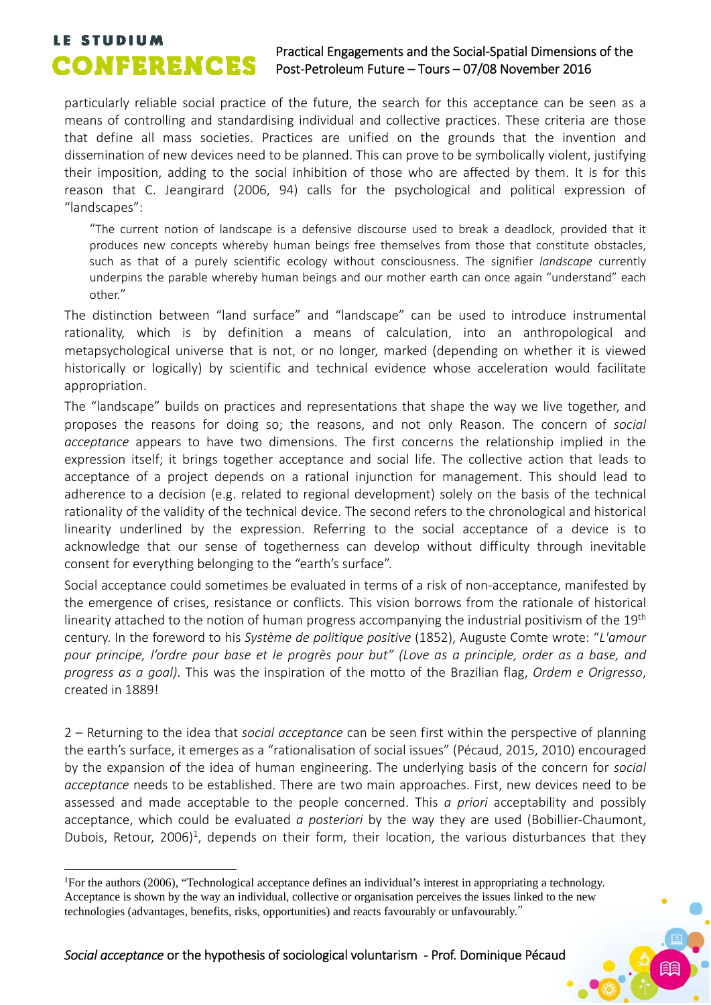# **LE STUDIUM**<br>Practical Engagements and the Social-Spatial Dimensions of the<br>Post-Petroleum Euture – Tours – 07/08 November 2016

## Post‐Petroleum Future – Tours – 07/08 November 2016

particularly reliable social practice of the future, the search for this acceptance can be seen as a means of controlling and standardising individual and collective practices. These criteria are those that define all mass societies. Practices are unified on the grounds that the invention and dissemination of new devices need to be planned. This can prove to be symbolically violent, justifying their imposition, adding to the social inhibition of those who are affected by them. It is for this reason that C. Jeangirard (2006, 94) calls for the psychological and political expression of "landscapes":

"The current notion of landscape is a defensive discourse used to break a deadlock, provided that it produces new concepts whereby human beings free themselves from those that constitute obstacles, such as that of a purely scientific ecology without consciousness. The signifier *landscape* currently underpins the parable whereby human beings and our mother earth can once again "understand" each other."

The distinction between "land surface" and "landscape" can be used to introduce instrumental rationality, which is by definition a means of calculation, into an anthropological and metapsychological universe that is not, or no longer, marked (depending on whether it is viewed historically or logically) by scientific and technical evidence whose acceleration would facilitate appropriation.

The "landscape" builds on practices and representations that shape the way we live together, and proposes the reasons for doing so; the reasons, and not only Reason. The concern of *social acceptance* appears to have two dimensions. The first concerns the relationship implied in the expression itself; it brings together acceptance and social life. The collective action that leads to acceptance of a project depends on a rational injunction for management. This should lead to adherence to a decision (e.g. related to regional development) solely on the basis of the technical rationality of the validity of the technical device. The second refers to the chronological and historical linearity underlined by the expression. Referring to the social acceptance of a device is to acknowledge that our sense of togetherness can develop without difficulty through inevitable consent for everything belonging to the "earth's surface".

Social acceptance could sometimes be evaluated in terms of a risk of non-acceptance, manifested by the emergence of crises, resistance or conflicts. This vision borrows from the rationale of historical linearity attached to the notion of human progress accompanying the industrial positivism of the 19<sup>th</sup> century. In the foreword to his *Système de politique positive* (1852), Auguste Comte wrote: "*L'amour pour principe, l'ordre pour base et le progrès pour but" (Love as a principle, order as a base, and progress as a goal)*. This was the inspiration of the motto of the Brazilian flag, *Ordem e Origresso*, created in 1889!

2 – Returning to the idea that *social acceptance* can be seen first within the perspective of planning the earth's surface, it emerges as a "rationalisation of social issues" (Pécaud, 2015, 2010) encouraged by the expansion of the idea of human engineering. The underlying basis of the concern for *social acceptance* needs to be established. There are two main approaches. First, new devices need to be assessed and made acceptable to the people concerned. This *a priori* acceptability and possibly acceptance, which could be evaluated *a posteriori* by the way they are used (Bobillier‐Chaumont, Dubois, Retour, 2006)<sup>1</sup>, depends on their form, their location, the various disturbances that they

1

<sup>&</sup>lt;sup>1</sup>For the authors (2006), "Technological acceptance defines an individual's interest in appropriating a technology. Acceptance is shown by the way an individual, collective or organisation perceives the issues linked to the new technologies (advantages, benefits, risks, opportunities) and reacts favourably or unfavourably."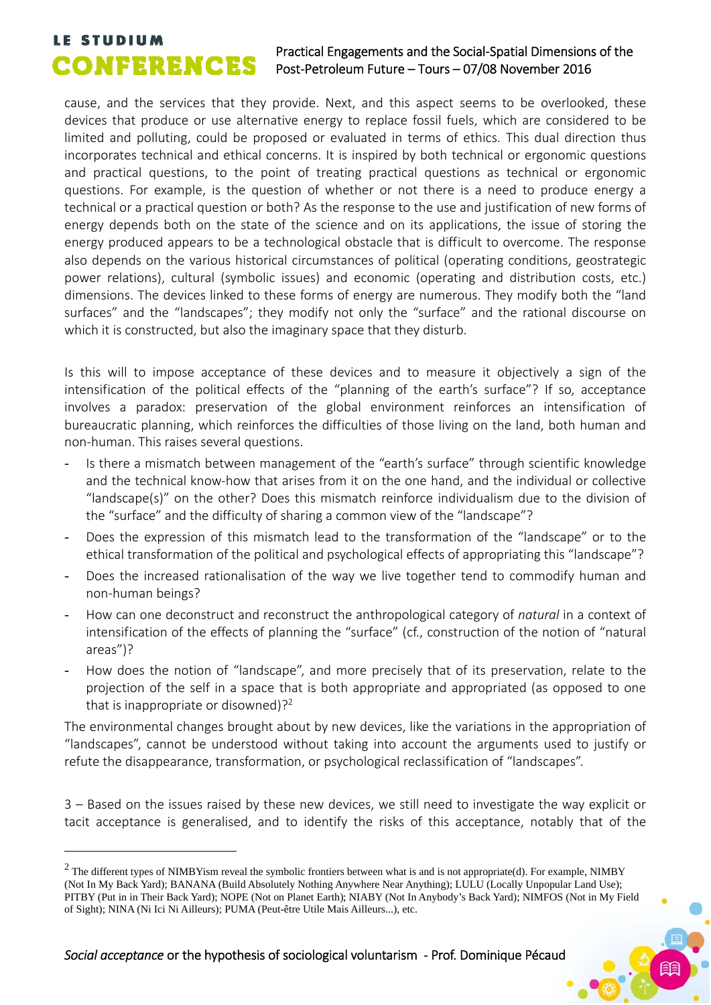1

## **LE STUDIUM**<br>Practical Engagements and the Social-Spatial Dimensions of the<br>Post-Petroleum Euture – Tours – 07/08 November 2016 Post‐Petroleum Future – Tours – 07/08 November 2016

cause, and the services that they provide. Next, and this aspect seems to be overlooked, these devices that produce or use alternative energy to replace fossil fuels, which are considered to be limited and polluting, could be proposed or evaluated in terms of ethics. This dual direction thus incorporates technical and ethical concerns. It is inspired by both technical or ergonomic questions and practical questions, to the point of treating practical questions as technical or ergonomic questions. For example, is the question of whether or not there is a need to produce energy a technical or a practical question or both? As the response to the use and justification of new forms of energy depends both on the state of the science and on its applications, the issue of storing the energy produced appears to be a technological obstacle that is difficult to overcome. The response also depends on the various historical circumstances of political (operating conditions, geostrategic power relations), cultural (symbolic issues) and economic (operating and distribution costs, etc.) dimensions. The devices linked to these forms of energy are numerous. They modify both the "land surfaces" and the "landscapes"; they modify not only the "surface" and the rational discourse on which it is constructed, but also the imaginary space that they disturb.

Is this will to impose acceptance of these devices and to measure it objectively a sign of the intensification of the political effects of the "planning of the earth's surface"? If so, acceptance involves a paradox: preservation of the global environment reinforces an intensification of bureaucratic planning, which reinforces the difficulties of those living on the land, both human and non‐human. This raises several questions.

- Is there a mismatch between management of the "earth's surface" through scientific knowledge and the technical know‐how that arises from it on the one hand, and the individual or collective "landscape(s)" on the other? Does this mismatch reinforce individualism due to the division of the "surface" and the difficulty of sharing a common view of the "landscape"?
- Does the expression of this mismatch lead to the transformation of the "landscape" or to the ethical transformation of the political and psychological effects of appropriating this "landscape"?
- Does the increased rationalisation of the way we live together tend to commodify human and non‐human beings?
- How can one deconstruct and reconstruct the anthropological category of *natural* in a context of intensification of the effects of planning the "surface" (cf., construction of the notion of "natural areas")?
- How does the notion of "landscape", and more precisely that of its preservation, relate to the projection of the self in a space that is both appropriate and appropriated (as opposed to one that is inappropriate or disowned)?<sup>2</sup>

The environmental changes brought about by new devices, like the variations in the appropriation of "landscapes", cannot be understood without taking into account the arguments used to justify or refute the disappearance, transformation, or psychological reclassification of "landscapes".

3 – Based on the issues raised by these new devices, we still need to investigate the way explicit or tacit acceptance is generalised, and to identify the risks of this acceptance, notably that of the

 $2$  The different types of NIMBYism reveal the symbolic frontiers between what is and is not appropriate(d). For example, NIMBY (Not In My Back Yard); BANANA (Build Absolutely Nothing Anywhere Near Anything); LULU (Locally Unpopular Land Use); PITBY (Put in in Their Back Yard); NOPE (Not on Planet Earth); NIABY (Not In Anybody's Back Yard); NIMFOS (Not in My Field of Sight); NINA (Ni Ici Ni Ailleurs); PUMA (Peut-être Utile Mais Ailleurs...), etc.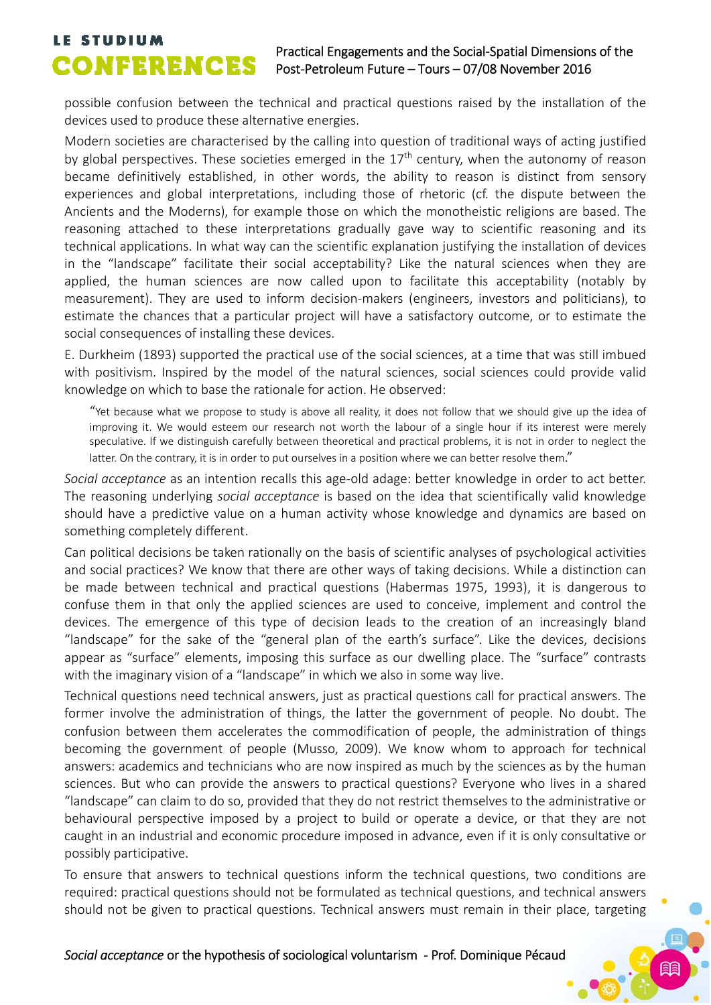## **LE STUDIUM**<br>Practical Engagements and the Social-Spatial Dimensions of the<br>Post-Petroleum Euture – Tours – 07/08 November 2016 Post‐Petroleum Future – Tours – 07/08 November 2016

possible confusion between the technical and practical questions raised by the installation of the devices used to produce these alternative energies.

Modern societies are characterised by the calling into question of traditional ways of acting justified by global perspectives. These societies emerged in the  $17<sup>th</sup>$  century, when the autonomy of reason became definitively established, in other words, the ability to reason is distinct from sensory experiences and global interpretations, including those of rhetoric (cf. the dispute between the Ancients and the Moderns), for example those on which the monotheistic religions are based. The reasoning attached to these interpretations gradually gave way to scientific reasoning and its technical applications. In what way can the scientific explanation justifying the installation of devices in the "landscape" facilitate their social acceptability? Like the natural sciences when they are applied, the human sciences are now called upon to facilitate this acceptability (notably by measurement). They are used to inform decision‐makers (engineers, investors and politicians), to estimate the chances that a particular project will have a satisfactory outcome, or to estimate the social consequences of installing these devices.

E. Durkheim (1893) supported the practical use of the social sciences, at a time that was still imbued with positivism. Inspired by the model of the natural sciences, social sciences could provide valid knowledge on which to base the rationale for action. He observed:

"Yet because what we propose to study is above all reality, it does not follow that we should give up the idea of improving it. We would esteem our research not worth the labour of a single hour if its interest were merely speculative. If we distinguish carefully between theoretical and practical problems, it is not in order to neglect the latter. On the contrary, it is in order to put ourselves in a position where we can better resolve them."

*Social acceptance* as an intention recalls this age‐old adage: better knowledge in order to act better. The reasoning underlying *social acceptance* is based on the idea that scientifically valid knowledge should have a predictive value on a human activity whose knowledge and dynamics are based on something completely different.

Can political decisions be taken rationally on the basis of scientific analyses of psychological activities and social practices? We know that there are other ways of taking decisions. While a distinction can be made between technical and practical questions (Habermas 1975, 1993), it is dangerous to confuse them in that only the applied sciences are used to conceive, implement and control the devices. The emergence of this type of decision leads to the creation of an increasingly bland "landscape" for the sake of the "general plan of the earth's surface". Like the devices, decisions appear as "surface" elements, imposing this surface as our dwelling place. The "surface" contrasts with the imaginary vision of a "landscape" in which we also in some way live.

Technical questions need technical answers, just as practical questions call for practical answers. The former involve the administration of things, the latter the government of people. No doubt. The confusion between them accelerates the commodification of people, the administration of things becoming the government of people (Musso, 2009). We know whom to approach for technical answers: academics and technicians who are now inspired as much by the sciences as by the human sciences. But who can provide the answers to practical questions? Everyone who lives in a shared "landscape" can claim to do so, provided that they do not restrict themselves to the administrative or behavioural perspective imposed by a project to build or operate a device, or that they are not caught in an industrial and economic procedure imposed in advance, even if it is only consultative or possibly participative.

To ensure that answers to technical questions inform the technical questions, two conditions are required: practical questions should not be formulated as technical questions, and technical answers should not be given to practical questions. Technical answers must remain in their place, targeting